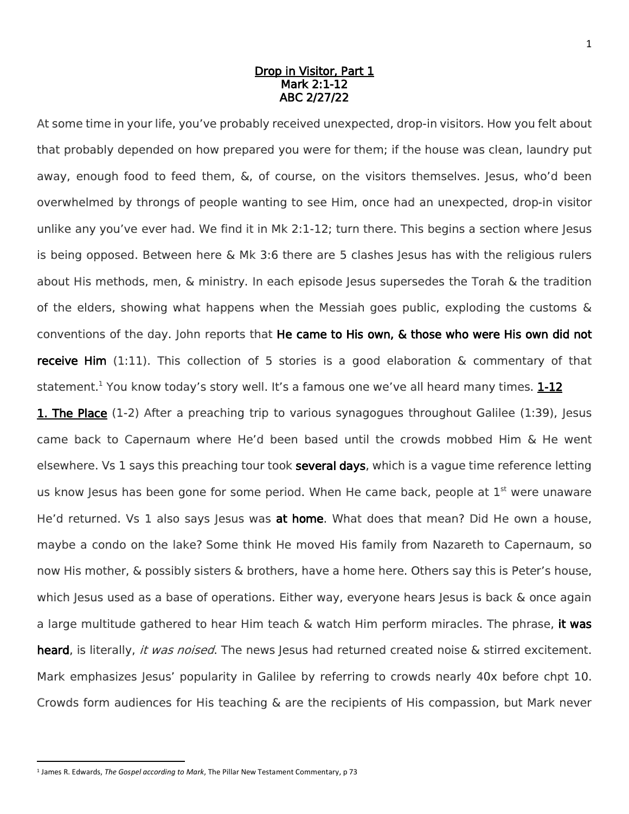## Drop in Visitor, Part 1 Mark 2:1-12 ABC 2/27/22

At some time in your life, you've probably received unexpected, drop-in visitors. How you felt about that probably depended on how prepared you were for them; if the house was clean, laundry put away, enough food to feed them, &, of course, on the visitors themselves. Jesus, who'd been overwhelmed by throngs of people wanting to see Him, once had an unexpected, drop-in visitor unlike any you've ever had. We find it in Mk 2:1-12; turn there. This begins a section where Jesus is being opposed. Between here  $\&$  Mk 3:6 there are 5 clashes lesus has with the religious rulers about His methods, men, & ministry. In each episode Jesus supersedes the Torah & the tradition of the elders, showing what happens when the Messiah goes public, exploding the customs  $\&$ conventions of the day. John reports that He came to His own, & those who were His own did not **receive Him** (1:11). This collection of 5 stories is a good elaboration & commentary of that statement.<sup>1</sup> You know today's story well. It's a famous one we've all heard many times.  $1-12$ 

**1. The Place** (1-2) After a preaching trip to various synagogues throughout Galilee (1:39), Jesus came back to Capernaum where He'd been based until the crowds mobbed Him & He went elsewhere. Vs 1 says this preaching tour took several days, which is a vague time reference letting us know Jesus has been gone for some period. When He came back, people at  $1<sup>st</sup>$  were unaware He'd returned. Vs 1 also says Jesus was at home. What does that mean? Did He own a house, maybe a condo on the lake? Some think He moved His family from Nazareth to Capernaum, so now His mother, & possibly sisters & brothers, have a home here. Others say this is Peter's house, which Jesus used as a base of operations. Either way, everyone hears Jesus is back & once again a large multitude gathered to hear Him teach & watch Him perform miracles. The phrase, it was heard, is literally, it was noised. The news Jesus had returned created noise & stirred excitement. Mark emphasizes Jesus' popularity in Galilee by referring to crowds nearly 40x before chpt 10. Crowds form audiences for His teaching & are the recipients of His compassion, but Mark never

<sup>1</sup> James R. Edwards, *The Gospel according to Mark*, The Pillar New Testament Commentary, p 73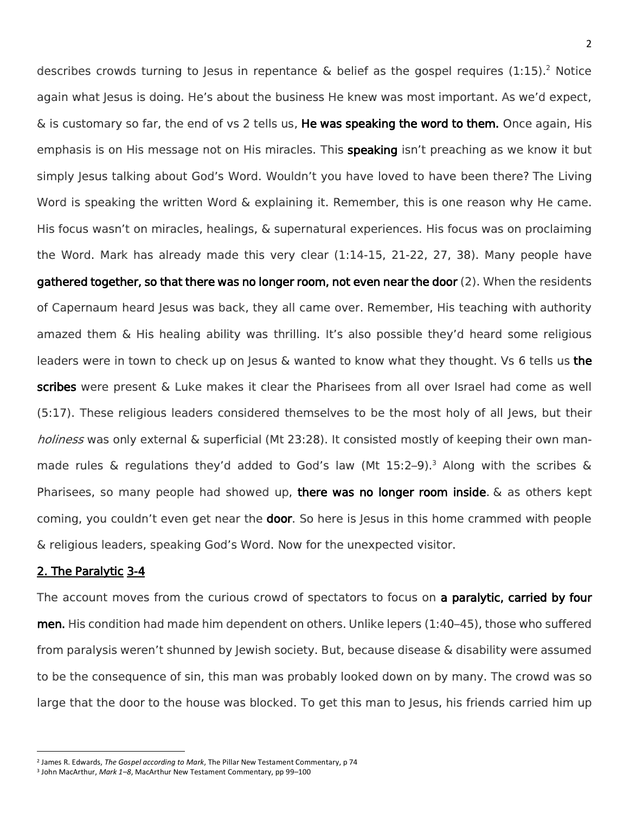describes crowds turning to Jesus in repentance  $\&$  belief as the gospel requires (1:15).<sup>2</sup> Notice again what Jesus is doing. He's about the business He knew was most important. As we'd expect, & is customary so far, the end of vs 2 tells us, **He was speaking the word to them.** Once again, His emphasis is on His message not on His miracles. This **speaking** isn't preaching as we know it but simply Jesus talking about God's Word. Wouldn't you have loved to have been there? The Living Word is speaking the written Word & explaining it. Remember, this is one reason why He came. His focus wasn't on miracles, healings, & supernatural experiences. His focus was on proclaiming the Word. Mark has already made this very clear (1:14-15, 21-22, 27, 38). Many people have gathered together, so that there was no longer room, not even near the door (2). When the residents of Capernaum heard Jesus was back, they all came over. Remember, His teaching with authority amazed them & His healing ability was thrilling. It's also possible they'd heard some religious leaders were in town to check up on Jesus  $\&$  wanted to know what they thought. Vs 6 tells us the scribes were present & Luke makes it clear the Pharisees from all over Israel had come as well (5:17). These religious leaders considered themselves to be the most holy of all Jews, but their holiness was only external & superficial (Mt 23:28). It consisted mostly of keeping their own manmade rules & regulations they'd added to God's law (Mt 15:2–9).<sup>3</sup> Along with the scribes & Pharisees, so many people had showed up, there was no longer room inside.  $\&$  as others kept coming, you couldn't even get near the **door**. So here is Jesus in this home crammed with people & religious leaders, speaking God's Word. Now for the unexpected visitor.

## 2. The Paralytic 3-4

 $\overline{\phantom{a}}$ 

The account moves from the curious crowd of spectators to focus on a paralytic, carried by four men. His condition had made him dependent on others. Unlike lepers (1:40–45), those who suffered from paralysis weren't shunned by Jewish society. But, because disease & disability were assumed to be the consequence of sin, this man was probably looked down on by many. The crowd was so large that the door to the house was blocked. To get this man to Jesus, his friends carried him up

<sup>2</sup> James R. Edwards, *The Gospel according to Mark*, The Pillar New Testament Commentary, p 74

<sup>3</sup> John MacArthur, *Mark 1–8*, MacArthur New Testament Commentary, pp 99–100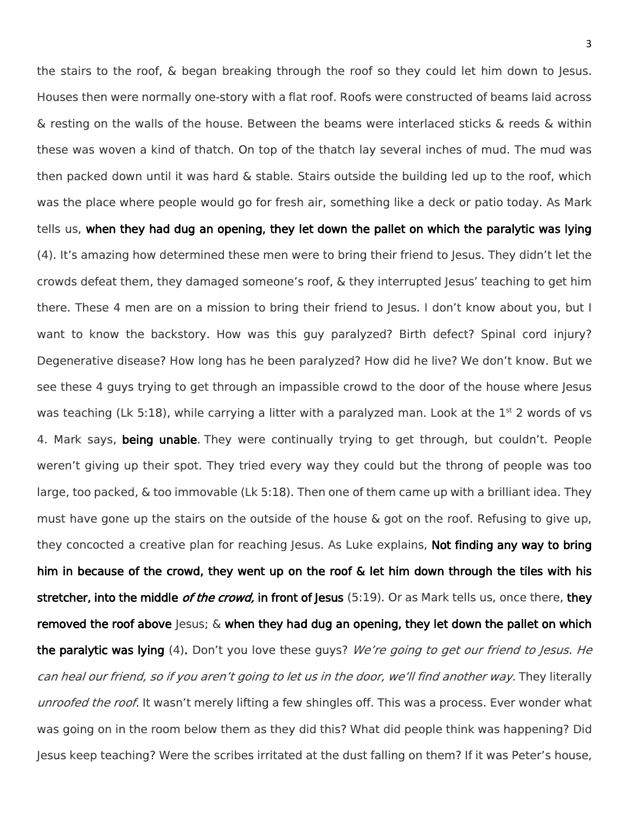the stairs to the roof, & began breaking through the roof so they could let him down to Jesus. Houses then were normally one-story with a flat roof. Roofs were constructed of beams laid across & resting on the walls of the house. Between the beams were interlaced sticks & reeds & within these was woven a kind of thatch. On top of the thatch lay several inches of mud. The mud was then packed down until it was hard & stable. Stairs outside the building led up to the roof, which was the place where people would go for fresh air, something like a deck or patio today. As Mark tells us, when they had dug an opening, they let down the pallet on which the paralytic was lying (4). It's amazing how determined these men were to bring their friend to Jesus. They didn't let the crowds defeat them, they damaged someone's roof, & they interrupted Jesus' teaching to get him there. These 4 men are on a mission to bring their friend to Jesus. I don't know about you, but I want to know the backstory. How was this guy paralyzed? Birth defect? Spinal cord injury? Degenerative disease? How long has he been paralyzed? How did he live? We don't know. But we see these 4 guys trying to get through an impassible crowd to the door of the house where Jesus was teaching (Lk 5:18), while carrying a litter with a paralyzed man. Look at the 1<sup>st</sup> 2 words of vs 4. Mark says, being unable. They were continually trying to get through, but couldn't. People weren't giving up their spot. They tried every way they could but the throng of people was too large, too packed, & too immovable (Lk 5:18). Then one of them came up with a brilliant idea. They must have gone up the stairs on the outside of the house & got on the roof. Refusing to give up, they concocted a creative plan for reaching Jesus. As Luke explains, Not finding any way to bring him in because of the crowd, they went up on the roof & let him down through the tiles with his stretcher, into the middle *of the crowd*, in front of Jesus (5:19). Or as Mark tells us, once there, they removed the roof above Jesus;  $\&$  when they had dug an opening, they let down the pallet on which the paralytic was lying (4). Don't you love these guys? We're going to get our friend to Jesus. He can heal our friend, so if you aren't going to let us in the door, we'll find another way. They literally unroofed the roof. It wasn't merely lifting a few shingles off. This was a process. Ever wonder what was going on in the room below them as they did this? What did people think was happening? Did Jesus keep teaching? Were the scribes irritated at the dust falling on them? If it was Peter's house,

3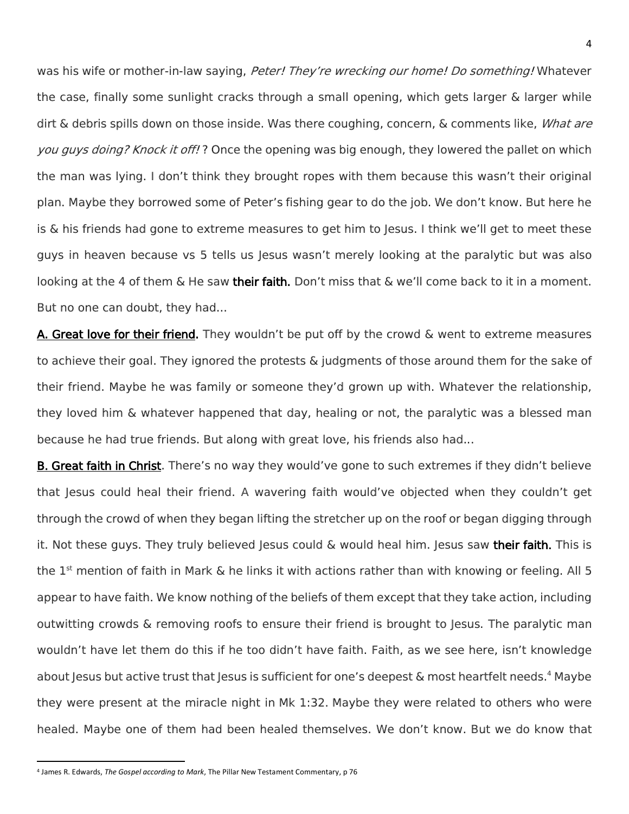was his wife or mother-in-law saying, Peter! They're wrecking our home! Do something! Whatever the case, finally some sunlight cracks through a small opening, which gets larger & larger while dirt & debris spills down on those inside. Was there coughing, concern, & comments like, *What are* you guys doing? Knock it off!? Once the opening was big enough, they lowered the pallet on which the man was lying. I don't think they brought ropes with them because this wasn't their original plan. Maybe they borrowed some of Peter's fishing gear to do the job. We don't know. But here he is & his friends had gone to extreme measures to get him to Jesus. I think we'll get to meet these guys in heaven because vs 5 tells us Jesus wasn't merely looking at the paralytic but was also looking at the 4 of them & He saw their faith. Don't miss that & we'll come back to it in a moment. But no one can doubt, they had...

A. Great love for their friend. They wouldn't be put off by the crowd & went to extreme measures to achieve their goal. They ignored the protests & judgments of those around them for the sake of their friend. Maybe he was family or someone they'd grown up with. Whatever the relationship, they loved him & whatever happened that day, healing or not, the paralytic was a blessed man because he had true friends. But along with great love, his friends also had...

B. Great faith in Christ. There's no way they would've gone to such extremes if they didn't believe that Jesus could heal their friend. A wavering faith would've objected when they couldn't get through the crowd of when they began lifting the stretcher up on the roof or began digging through it. Not these guys. They truly believed Jesus could & would heal him. Jesus saw their faith. This is the 1<sup>st</sup> mention of faith in Mark & he links it with actions rather than with knowing or feeling. All 5 appear to have faith. We know nothing of the beliefs of them except that they take action, including outwitting crowds & removing roofs to ensure their friend is brought to Jesus. The paralytic man wouldn't have let them do this if he too didn't have faith. Faith, as we see here, isn't knowledge about Jesus but active trust that Jesus is sufficient for one's deepest  $\&$  most heartfelt needs.<sup>4</sup> Maybe they were present at the miracle night in Mk 1:32. Maybe they were related to others who were healed. Maybe one of them had been healed themselves. We don't know. But we do know that

<sup>4</sup> James R. Edwards, *The Gospel according to Mark*, The Pillar New Testament Commentary, p 76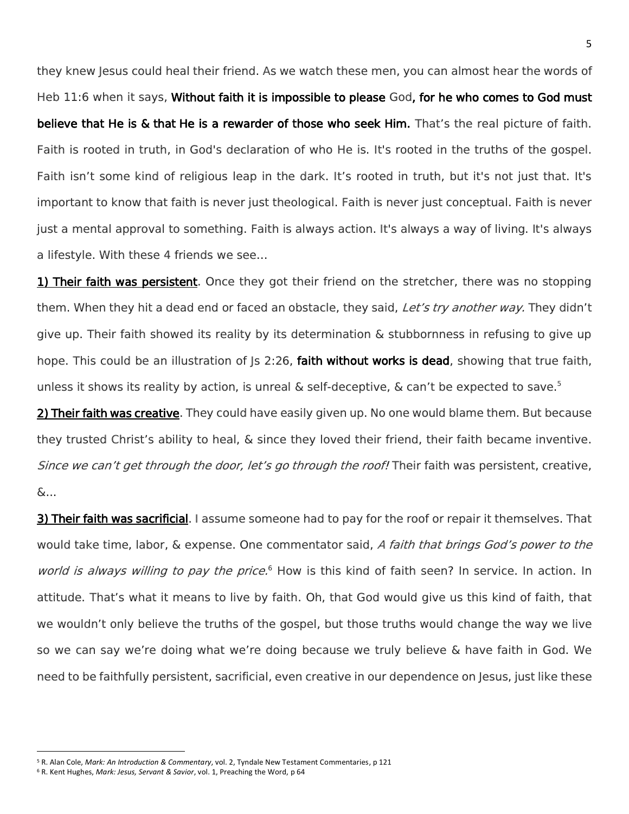they knew Jesus could heal their friend. As we watch these men, you can almost hear the words of Heb 11:6 when it says, Without faith it is impossible to please God, for he who comes to God must believe that He is & that He is a rewarder of those who seek Him. That's the real picture of faith. Faith is rooted in truth, in God's declaration of who He is. It's rooted in the truths of the gospel. Faith isn't some kind of religious leap in the dark. It's rooted in truth, but it's not just that. It's important to know that faith is never just theological. Faith is never just conceptual. Faith is never just a mental approval to something. Faith is always action. It's always a way of living. It's always a lifestyle. With these 4 friends we see…

1) Their faith was persistent. Once they got their friend on the stretcher, there was no stopping them. When they hit a dead end or faced an obstacle, they said, Let's try another way. They didn't give up. Their faith showed its reality by its determination & stubbornness in refusing to give up hope. This could be an illustration of  $|s\>2:26$ , faith without works is dead, showing that true faith, unless it shows its reality by action, is unreal & self-deceptive, & can't be expected to save.<sup>5</sup>

2) Their faith was creative. They could have easily given up. No one would blame them. But because they trusted Christ's ability to heal, & since they loved their friend, their faith became inventive. Since we can't get through the door, let's go through the roof! Their faith was persistent, creative, &...

3) Their faith was sacrificial. I assume someone had to pay for the roof or repair it themselves. That would take time, labor, & expense. One commentator said, A faith that brings God's power to the world is always willing to pay the price.<sup>6</sup> How is this kind of faith seen? In service. In action. In attitude. That's what it means to live by faith. Oh, that God would give us this kind of faith, that we wouldn't only believe the truths of the gospel, but those truths would change the way we live so we can say we're doing what we're doing because we truly believe & have faith in God. We need to be faithfully persistent, sacrificial, even creative in our dependence on Jesus, just like these

 $\overline{\phantom{a}}$ <sup>5</sup> R. Alan Cole, *Mark: An Introduction & Commentary*, vol. 2, Tyndale New Testament Commentaries, p 121

<sup>6</sup> R. Kent Hughes, *Mark: Jesus, Servant & Savior*, vol. 1, Preaching the Word, p 64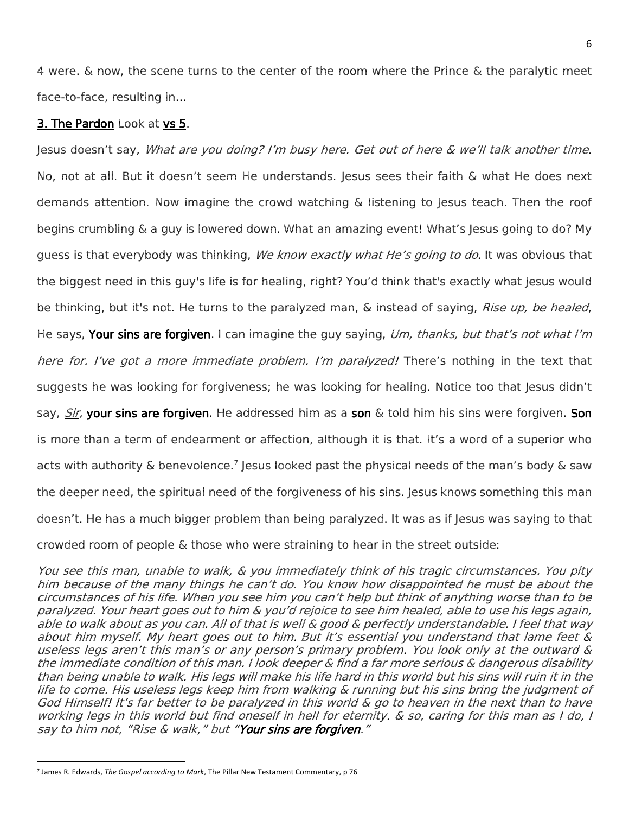4 were. & now, the scene turns to the center of the room where the Prince & the paralytic meet face-to-face, resulting in…

## 3. The Pardon Look at vs 5.

Jesus doesn't say, What are you doing? I'm busy here. Get out of here & we'll talk another time. No, not at all. But it doesn't seem He understands. Jesus sees their faith & what He does next demands attention. Now imagine the crowd watching & listening to Jesus teach. Then the roof begins crumbling & a guy is lowered down. What an amazing event! What's Jesus going to do? My guess is that everybody was thinking, *We know exactly what He's going to do.* It was obvious that the biggest need in this guy's life is for healing, right? You'd think that's exactly what Jesus would be thinking, but it's not. He turns to the paralyzed man, & instead of saying, *Rise up, be healed*, He says, Your sins are forgiven. I can imagine the guy saying, Um, thanks, but that's not what I'm here for. I've got a more immediate problem. I'm paralyzed! There's nothing in the text that suggests he was looking for forgiveness; he was looking for healing. Notice too that Jesus didn't say, Sir, your sins are forgiven. He addressed him as a son & told him his sins were forgiven. Son is more than a term of endearment or affection, although it is that. It's a word of a superior who acts with authority & benevolence.<sup>7</sup> Jesus looked past the physical needs of the man's body & saw the deeper need, the spiritual need of the forgiveness of his sins. Jesus knows something this man doesn't. He has a much bigger problem than being paralyzed. It was as if Jesus was saying to that crowded room of people & those who were straining to hear in the street outside:

You see this man, unable to walk, & you immediately think of his tragic circumstances. You pity him because of the many things he can't do. You know how disappointed he must be about the circumstances of his life. When you see him you can't help but think of anything worse than to be paralyzed. Your heart goes out to him & you'd rejoice to see him healed, able to use his legs again, able to walk about as you can. All of that is well & good & perfectly understandable. I feel that way about him myself. My heart goes out to him. But it's essential you understand that lame feet & useless legs aren't this man's or any person's primary problem. You look only at the outward & the immediate condition of this man. I look deeper & find a far more serious & dangerous disability than being unable to walk. His legs will make his life hard in this world but his sins will ruin it in the life to come. His useless legs keep him from walking & running but his sins bring the judgment of God Himself! It'<sup>s</sup> far better to be paralyzed in this world & go to heaven in the next than to have working legs in this world but find oneself in hell for eternity. & so, caring for this man as I do, I say to him not, "Rise & walk," but "Your sins are forgiven."

<sup>7</sup> James R. Edwards, *The Gospel according to Mark*, The Pillar New Testament Commentary, p 76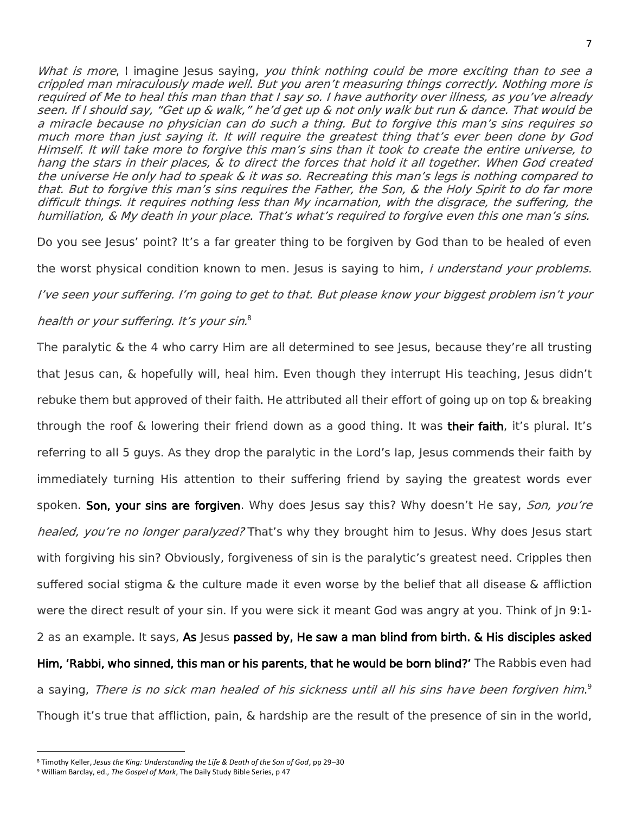What is more, I imagine Jesus saying, you think nothing could be more exciting than to see a crippled man miraculously made well. But you aren't measuring things correctly. Nothing more is required of Me to heal this man than that I say so. I have authority over illness, as you've already seen. If I should say, "Get up & walk," he'd get up & not only walk but run & dance. That would be a miracle because no physician can do such a thing. But to forgive this man's sins requires so much more than just saying it. It will require the greatest thing that's ever been done by God Himself. It will take more to forgive this man's sins than it took to create the entire universe, to hang the stars in their places, & to direct the forces that hold it all together. When God created the universe He only had to speak & it was so. Recreating this man's legs is nothing compared to that. But to forgive this man's sins requires the Father, the Son, & the Holy Spirit to do far more difficult things. It requires nothing less than My incarnation, with the disgrace, the suffering, the humiliation, & My death in your place. That's what's required to forgive even this one man's sins.

Do you see Jesus' point? It's a far greater thing to be forgiven by God than to be healed of even the worst physical condition known to men. Jesus is saying to him, I understand your problems. I've seen your suffering. I'm going to get to that. But please know your biggest problem isn't your health or your suffering. It's your sin.<sup>8</sup>

The paralytic & the 4 who carry Him are all determined to see Jesus, because they're all trusting that Jesus can, & hopefully will, heal him. Even though they interrupt His teaching, Jesus didn't rebuke them but approved of their faith. He attributed all their effort of going up on top & breaking through the roof & lowering their friend down as a good thing. It was **their faith**, it's plural. It's referring to all 5 guys. As they drop the paralytic in the Lord's lap, Jesus commends their faith by immediately turning His attention to their suffering friend by saying the greatest words ever spoken. Son, your sins are forgiven. Why does Jesus say this? Why doesn't He say, Son, you're healed, you're no longer paralyzed? That's why they brought him to Jesus. Why does Jesus start with forgiving his sin? Obviously, forgiveness of sin is the paralytic's greatest need. Cripples then suffered social stigma & the culture made it even worse by the belief that all disease & affliction were the direct result of your sin. If you were sick it meant God was angry at you. Think of Jn 9:1-2 as an example. It says, As Jesus passed by, He saw a man blind from birth. & His disciples asked Him, 'Rabbi, who sinned, this man or his parents, that he would be born blind?' The Rabbis even had a saying, *There is no sick man healed of his sickness until all his sins have been forgiven him*.<sup>9</sup> Though it's true that affliction, pain, & hardship are the result of the presence of sin in the world,

 $\overline{\phantom{a}}$ <sup>8</sup> Timothy Keller, *Jesus the King: Understanding the Life & Death of the Son of God*, pp 29–30

<sup>9</sup> William Barclay, ed., *The Gospel of Mark*, The Daily Study Bible Series, p 47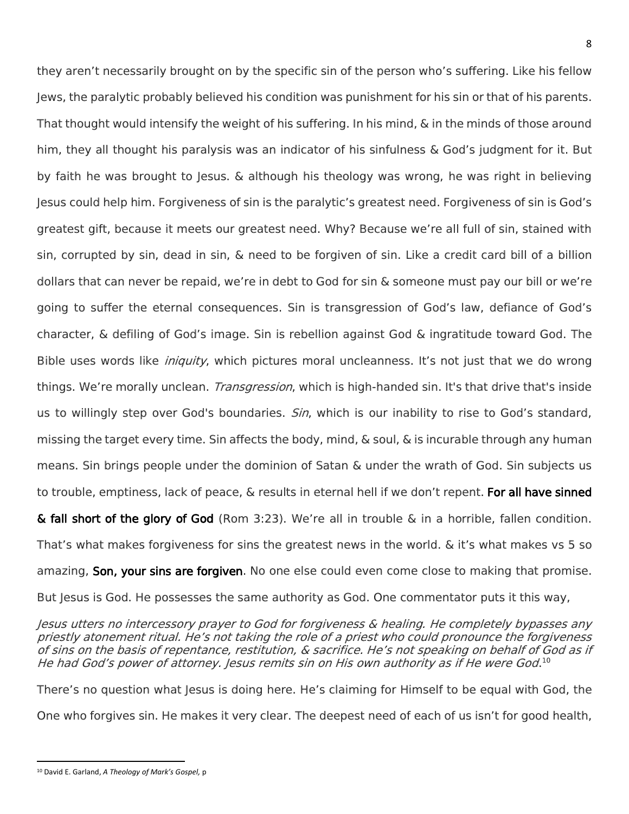they aren't necessarily brought on by the specific sin of the person who's suffering. Like his fellow Jews, the paralytic probably believed his condition was punishment for his sin or that of his parents. That thought would intensify the weight of his suffering. In his mind, & in the minds of those around him, they all thought his paralysis was an indicator of his sinfulness & God's judgment for it. But by faith he was brought to Jesus. & although his theology was wrong, he was right in believing Jesus could help him. Forgiveness of sin is the paralytic's greatest need. Forgiveness of sin is God's greatest gift, because it meets our greatest need. Why? Because we're all full of sin, stained with sin, corrupted by sin, dead in sin, & need to be forgiven of sin. Like a credit card bill of a billion dollars that can never be repaid, we're in debt to God for sin & someone must pay our bill or we're going to suffer the eternal consequences. Sin is transgression of God's law, defiance of God's character, & defiling of God's image. Sin is rebellion against God & ingratitude toward God. The Bible uses words like *iniquity*, which pictures moral uncleanness. It's not just that we do wrong things. We're morally unclean. *Transgression*, which is high-handed sin. It's that drive that's inside us to willingly step over God's boundaries. *Sin*, which is our inability to rise to God's standard, missing the target every time. Sin affects the body, mind, & soul, & is incurable through any human means. Sin brings people under the dominion of Satan & under the wrath of God. Sin subjects us to trouble, emptiness, lack of peace, & results in eternal hell if we don't repent. For all have sinned & fall short of the glory of God (Rom 3:23). We're all in trouble & in a horrible, fallen condition. That's what makes forgiveness for sins the greatest news in the world. & it's what makes vs 5 so

amazing, Son, your sins are forgiven. No one else could even come close to making that promise.

But Jesus is God. He possesses the same authority as God. One commentator puts it this way,

Jesus utters no intercessory prayer to God for forgiveness & healing. He completely bypasses any priestly atonement ritual. He's not taking the role of a priest who could pronounce the forgiveness of sins on the basis of repentance, restitution, & sacrifice. He's not speaking on behalf of God as if He had God's power of attorney. Jesus remits sin on His own authority as if He were God. $^{10}$ 

There's no question what Jesus is doing here. He's claiming for Himself to be equal with God, the One who forgives sin. He makes it very clear. The deepest need of each of us isn't for good health,

<sup>10</sup> David E. Garland, *A Theology of Mark's Gospel,* p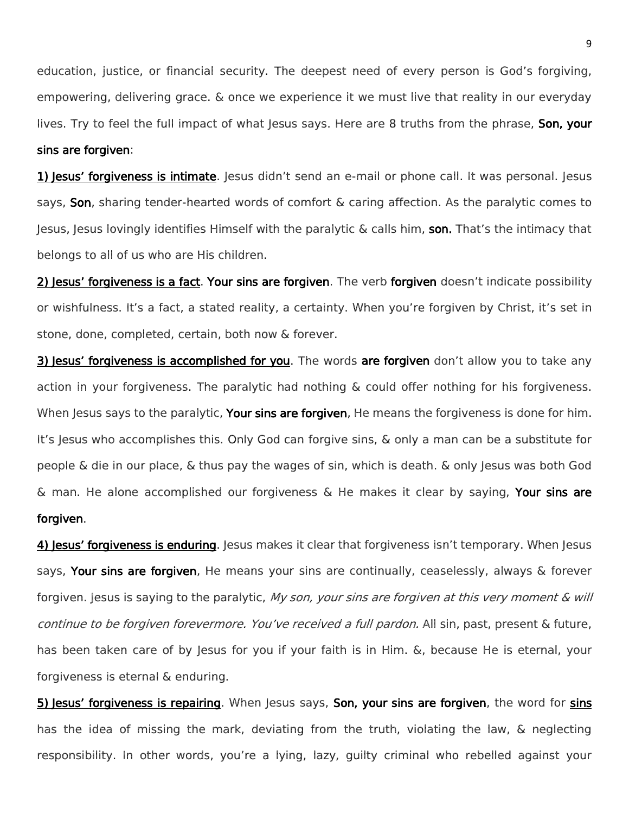education, justice, or financial security. The deepest need of every person is God's forgiving, empowering, delivering grace. & once we experience it we must live that reality in our everyday lives. Try to feel the full impact of what Jesus says. Here are 8 truths from the phrase, Son, your sins are forgiven:

1) Jesus' forgiveness is intimate. Jesus didn't send an e-mail or phone call. It was personal. Jesus says, Son, sharing tender-hearted words of comfort & caring affection. As the paralytic comes to Jesus, Jesus lovingly identifies Himself with the paralytic & calls him, son. That's the intimacy that belongs to all of us who are His children.

2) Jesus' forgiveness is a fact. Your sins are forgiven. The verb forgiven doesn't indicate possibility or wishfulness. It's a fact, a stated reality, a certainty. When you're forgiven by Christ, it's set in stone, done, completed, certain, both now & forever.

3) Jesus' forgiveness is accomplished for you. The words are forgiven don't allow you to take any action in your forgiveness. The paralytic had nothing & could offer nothing for his forgiveness. When Jesus says to the paralytic, Your sins are forgiven, He means the forgiveness is done for him. It's Jesus who accomplishes this. Only God can forgive sins, & only a man can be a substitute for people & die in our place, & thus pay the wages of sin, which is death. & only Jesus was both God  $\&$  man. He alone accomplished our forgiveness  $\&$  He makes it clear by saying, Your sins are forgiven.

4) Jesus' forgiveness is enduring. Jesus makes it clear that forgiveness isn't temporary. When Jesus says, Your sins are forgiven, He means your sins are continually, ceaselessly, always & forever forgiven. Jesus is saying to the paralytic, My son, your sins are forgiven at this very moment & will continue to be forgiven forevermore. You've received a full pardon. All sin, past, present & future, has been taken care of by Jesus for you if your faith is in Him. &, because He is eternal, your forgiveness is eternal & enduring.

5) Jesus' forgiveness is repairing. When Jesus says, Son, your sins are forgiven, the word for sins has the idea of missing the mark, deviating from the truth, violating the law, & neglecting responsibility. In other words, you're a lying, lazy, guilty criminal who rebelled against your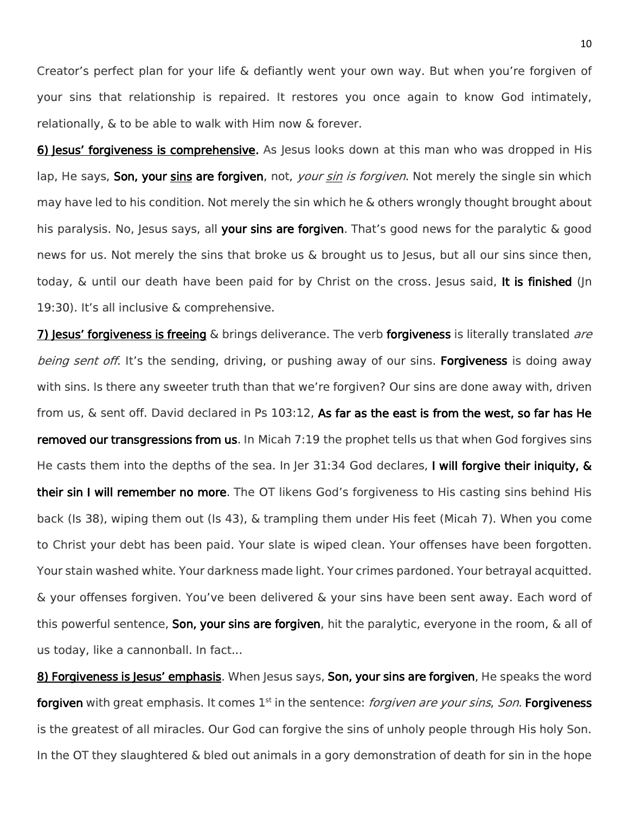Creator's perfect plan for your life & defiantly went your own way. But when you're forgiven of your sins that relationship is repaired. It restores you once again to know God intimately, relationally, & to be able to walk with Him now & forever.

6) Jesus' forgiveness is comprehensive. As Jesus looks down at this man who was dropped in His lap, He says, Son, your sins are forgiven, not, *your sin is forgiven*. Not merely the single sin which may have led to his condition. Not merely the sin which he & others wrongly thought brought about his paralysis. No, Jesus says, all your sins are forgiven. That's good news for the paralytic & good news for us. Not merely the sins that broke us & brought us to Jesus, but all our sins since then, today, & until our death have been paid for by Christ on the cross. Jesus said, It is finished (Jn 19:30). It's all inclusive & comprehensive.

7) Jesus' forgiveness is freeing & brings deliverance. The verb forgiveness is literally translated are *being sent off*. It's the sending, driving, or pushing away of our sins. **Forgiveness** is doing away with sins. Is there any sweeter truth than that we're forgiven? Our sins are done away with, driven from us, & sent off. David declared in Ps 103:12, As far as the east is from the west, so far has He removed our transgressions from us. In Micah 7:19 the prophet tells us that when God forgives sins He casts them into the depths of the sea. In Jer 31:34 God declares, I will forgive their iniquity, & their sin I will remember no more. The OT likens God's forgiveness to His casting sins behind His back (Is 38), wiping them out (Is 43), & trampling them under His feet (Micah 7). When you come to Christ your debt has been paid. Your slate is wiped clean. Your offenses have been forgotten. Your stain washed white. Your darkness made light. Your crimes pardoned. Your betrayal acquitted. & your offenses forgiven. You've been delivered & your sins have been sent away. Each word of this powerful sentence, **Son, your sins are forgiven**, hit the paralytic, everyone in the room, & all of us today, like a cannonball. In fact...

8) Forgiveness is Jesus' emphasis. When Jesus says, Son, your sins are forgiven, He speaks the word forgiven with great emphasis. It comes 1st in the sentence: *forgiven are your sins, Son*. Forgiveness is the greatest of all miracles. Our God can forgive the sins of unholy people through His holy Son. In the OT they slaughtered & bled out animals in a gory demonstration of death for sin in the hope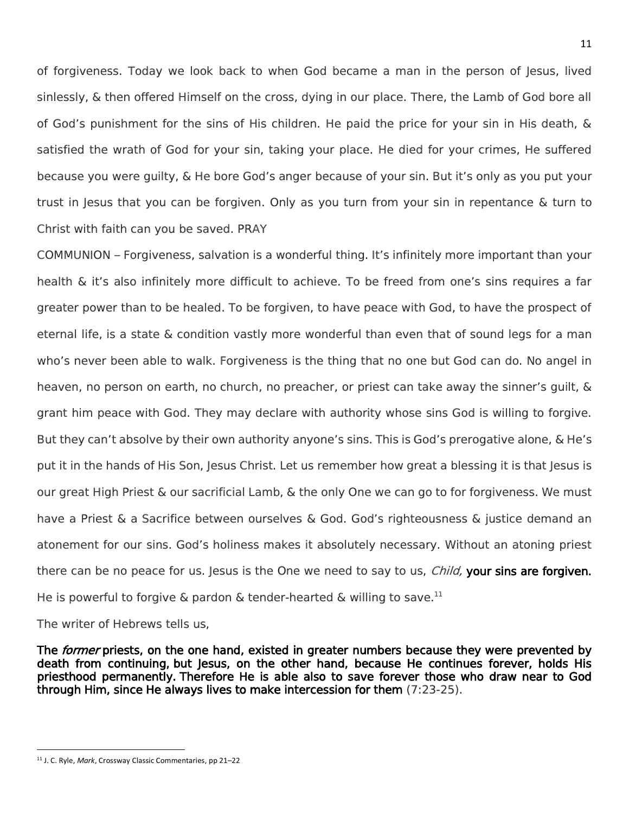of forgiveness. Today we look back to when God became a man in the person of Jesus, lived sinlessly, & then offered Himself on the cross, dying in our place. There, the Lamb of God bore all of God's punishment for the sins of His children. He paid the price for your sin in His death, & satisfied the wrath of God for your sin, taking your place. He died for your crimes, He suffered because you were guilty, & He bore God's anger because of your sin. But it's only as you put your trust in Jesus that you can be forgiven. Only as you turn from your sin in repentance & turn to Christ with faith can you be saved. PRAY

COMMUNION – Forgiveness, salvation is a wonderful thing. It's infinitely more important than your health & it's also infinitely more difficult to achieve. To be freed from one's sins requires a far greater power than to be healed. To be forgiven, to have peace with God, to have the prospect of eternal life, is a state & condition vastly more wonderful than even that of sound legs for a man who's never been able to walk. Forgiveness is the thing that no one but God can do. No angel in heaven, no person on earth, no church, no preacher, or priest can take away the sinner's guilt, & grant him peace with God. They may declare with authority whose sins God is willing to forgive. But they can't absolve by their own authority anyone's sins. This is God's prerogative alone, & He's put it in the hands of His Son, Jesus Christ. Let us remember how great a blessing it is that Jesus is our great High Priest & our sacrificial Lamb, & the only One we can go to for forgiveness. We must have a Priest & a Sacrifice between ourselves & God. God's righteousness & justice demand an atonement for our sins. God's holiness makes it absolutely necessary. Without an atoning priest there can be no peace for us. Jesus is the One we need to say to us, *Child*, your sins are forgiven. He is powerful to forgive & pardon & tender-hearted & willing to save.<sup>11</sup>

The writer of Hebrews tells us,

The *former* priests, on the one hand, existed in greater numbers because they were prevented by death from continuing, but Jesus, on the other hand, because He continues forever, holds His priesthood permanently. Therefore He is able also to save forever those who draw near to God through Him, since He always lives to make intercession for them (7:23-25).

<sup>11</sup>

<sup>11</sup> J. C. Ryle, *Mark*, Crossway Classic Commentaries, pp 21–22